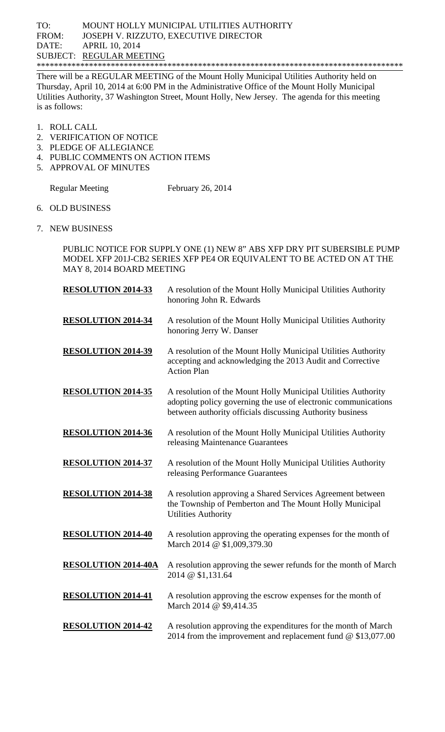There will be a REGULAR MEETING of the Mount Holly Municipal Utilities Authority held on Thursday, April 10, 2014 at 6:00 PM in the Administrative Office of the Mount Holly Municipal Utilities Authority, 37 Washington Street, Mount Holly, New Jersey. The agenda for this meeting is as follows:

- 1. ROLL CALL
- 2. VERIFICATION OF NOTICE
- 3. PLEDGE OF ALLEGIANCE
- 4. PUBLIC COMMENTS ON ACTION ITEMS
- 5. APPROVAL OF MINUTES

Regular Meeting February 26, 2014

6. OLD BUSINESS

7. NEW BUSINESS

PUBLIC NOTICE FOR SUPPLY ONE (1) NEW 8" ABS XFP DRY PIT SUBERSIBLE PUMP MODEL XFP 201J-CB2 SERIES XFP PE4 OR EQUIVALENT TO BE ACTED ON AT THE MAY 8, 2014 BOARD MEETING

| <b>RESOLUTION 2014-33</b>  | A resolution of the Mount Holly Municipal Utilities Authority<br>honoring John R. Edwards                                                                                                    |
|----------------------------|----------------------------------------------------------------------------------------------------------------------------------------------------------------------------------------------|
| <b>RESOLUTION 2014-34</b>  | A resolution of the Mount Holly Municipal Utilities Authority<br>honoring Jerry W. Danser                                                                                                    |
| <b>RESOLUTION 2014-39</b>  | A resolution of the Mount Holly Municipal Utilities Authority<br>accepting and acknowledging the 2013 Audit and Corrective<br><b>Action Plan</b>                                             |
| <b>RESOLUTION 2014-35</b>  | A resolution of the Mount Holly Municipal Utilities Authority<br>adopting policy governing the use of electronic communications<br>between authority officials discussing Authority business |
| <b>RESOLUTION 2014-36</b>  | A resolution of the Mount Holly Municipal Utilities Authority<br>releasing Maintenance Guarantees                                                                                            |
| <b>RESOLUTION 2014-37</b>  | A resolution of the Mount Holly Municipal Utilities Authority<br>releasing Performance Guarantees                                                                                            |
| <b>RESOLUTION 2014-38</b>  | A resolution approving a Shared Services Agreement between<br>the Township of Pemberton and The Mount Holly Municipal<br><b>Utilities Authority</b>                                          |
| <b>RESOLUTION 2014-40</b>  | A resolution approving the operating expenses for the month of<br>March 2014 @ \$1,009,379.30                                                                                                |
| <b>RESOLUTION 2014-40A</b> | A resolution approving the sewer refunds for the month of March<br>2014 @ \$1,131.64                                                                                                         |
| <b>RESOLUTION 2014-41</b>  | A resolution approving the escrow expenses for the month of<br>March 2014 @ \$9,414.35                                                                                                       |
| <b>RESOLUTION 2014-42</b>  | A resolution approving the expenditures for the month of March<br>2014 from the improvement and replacement fund $@$ \$13,077.00                                                             |